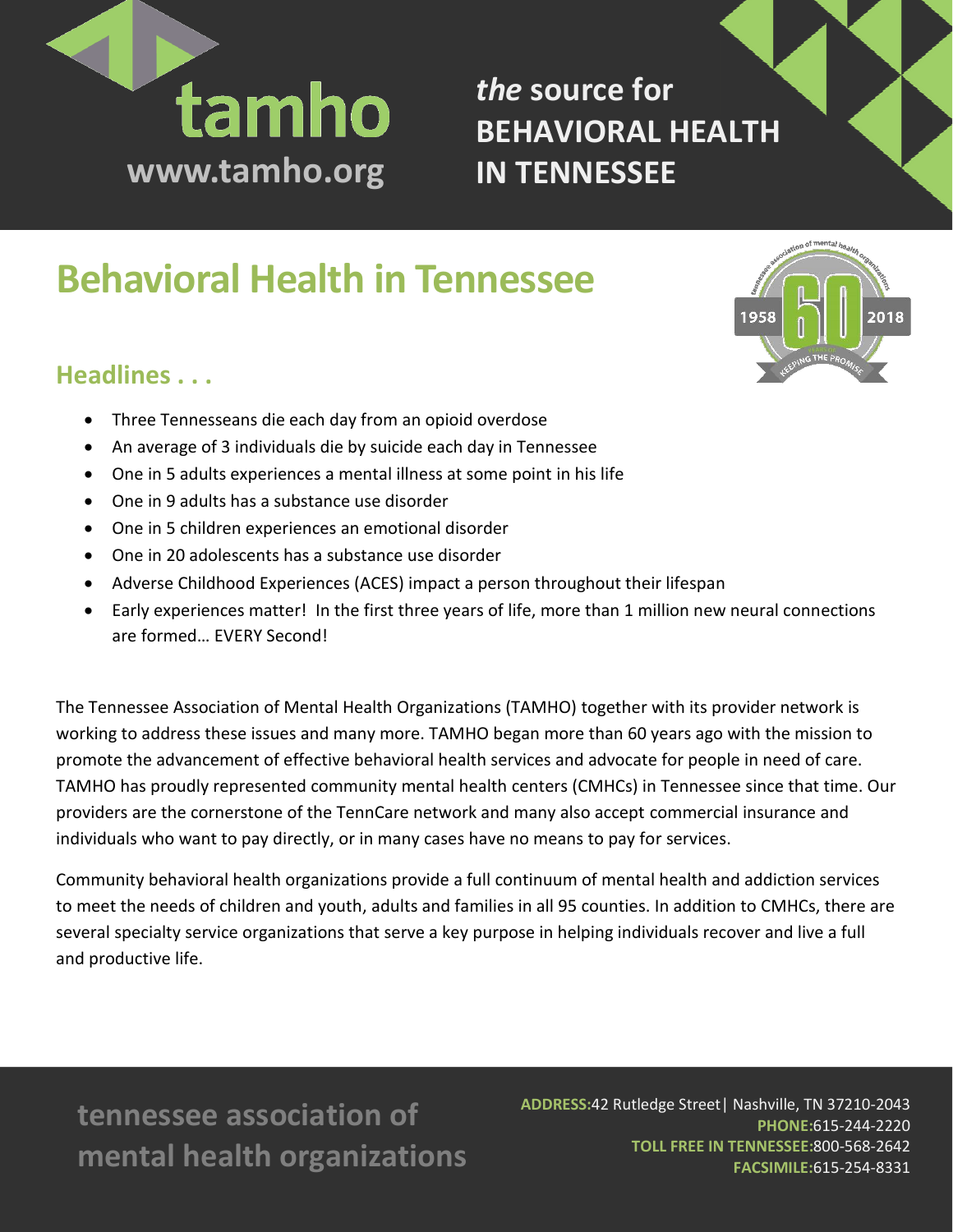

*the* **source for BEHAVIORAL HEALTH IN TENNESSEE**

# **Behavioral Health in Tennessee**

# **Headlines . . .**

- Three Tennesseans die each day from an opioid overdose
- An average of 3 individuals die by suicide each day in Tennessee
- One in 5 adults experiences a mental illness at some point in his life
- One in 9 adults has a substance use disorder
- One in 5 children experiences an emotional disorder
- One in 20 adolescents has a substance use disorder
- Adverse Childhood Experiences (ACES) impact a person throughout their lifespan
- Early experiences matter! In the first three years of life, more than 1 million new neural connections are formed… EVERY Second!

The Tennessee Association of Mental Health Organizations (TAMHO) together with its provider network is working to address these issues and many more. TAMHO began more than 60 years ago with the mission to promote the advancement of effective behavioral health services and advocate for people in need of care. TAMHO has proudly represented community mental health centers (CMHCs) in Tennessee since that time. Our providers are the cornerstone of the TennCare network and many also accept commercial insurance and individuals who want to pay directly, or in many cases have no means to pay for services.

Community behavioral health organizations provide a full continuum of mental health and addiction services to meet the needs of children and youth, adults and families in all 95 counties. In addition to CMHCs, there are several specialty service organizations that serve a key purpose in helping individuals recover and live a full and productive life.

**tennessee association of mental health organizations** **ADDRESS:**42 Rutledge Street| Nashville, TN 37210-2043 **PHONE:**615-244-2220 **TOLL FREE IN TENNESSEE:**800-568-2642 **FACSIMILE:**615-254-8331

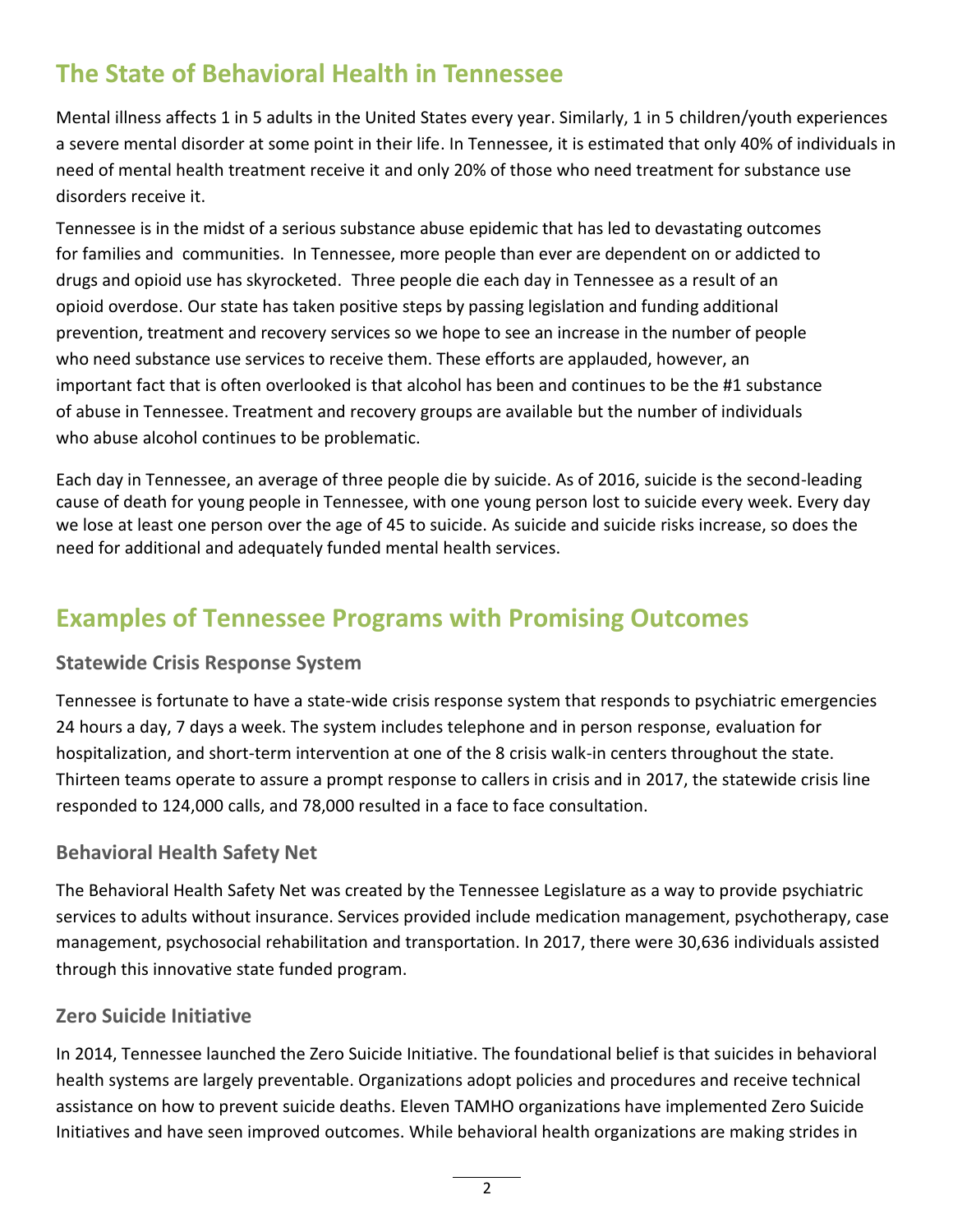# **The State of Behavioral Health in Tennessee**

Mental illness affects 1 in 5 adults in the United States every year. Similarly, 1 in 5 children/youth experiences a severe mental disorder at some point in their life. In Tennessee, it is estimated that only 40% of individuals in need of mental health treatment receive it and only 20% of those who need treatment for substance use disorders receive it.

Tennessee is in the midst of a serious substance abuse epidemic that has led to devastating outcomes for families and communities. In Tennessee, more people than ever are dependent on or addicted to drugs and opioid use has skyrocketed. Three people die each day in Tennessee as a result of an opioid overdose. Our state has taken positive steps by passing legislation and funding additional prevention, treatment and recovery services so we hope to see an increase in the number of people who need substance use services to receive them. These efforts are applauded, however, an important fact that is often overlooked is that alcohol has been and continues to be the #1 substance of abuse in Tennessee. Treatment and recovery groups are available but the number of individuals who abuse alcohol continues to be problematic.

Each day in Tennessee, an average of three people die by suicide. As of 2016, suicide is the second-leading cause of death for young people in Tennessee, with one young person lost to suicide every week. Every day we lose at least one person over the age of 45 to suicide. As suicide and suicide risks increase, so does the need for additional and adequately funded mental health services.

# **Examples of Tennessee Programs with Promising Outcomes**

#### **Statewide Crisis Response System**

Tennessee is fortunate to have a state-wide crisis response system that responds to psychiatric emergencies 24 hours a day, 7 days a week. The system includes telephone and in person response, evaluation for hospitalization, and short-term intervention at one of the 8 crisis walk-in centers throughout the state. Thirteen teams operate to assure a prompt response to callers in crisis and in 2017, the statewide crisis line responded to 124,000 calls, and 78,000 resulted in a face to face consultation.

#### **Behavioral Health Safety Net**

The Behavioral Health Safety Net was created by the Tennessee Legislature as a way to provide psychiatric services to adults without insurance. Services provided include medication management, psychotherapy, case management, psychosocial rehabilitation and transportation. In 2017, there were 30,636 individuals assisted through this innovative state funded program.

#### **Zero Suicide Initiative**

In 2014, Tennessee launched the Zero Suicide Initiative. The foundational belief is that suicides in behavioral health systems are largely preventable. Organizations adopt policies and procedures and receive technical assistance on how to prevent suicide deaths. Eleven TAMHO organizations have implemented Zero Suicide Initiatives and have seen improved outcomes. While behavioral health organizations are making strides in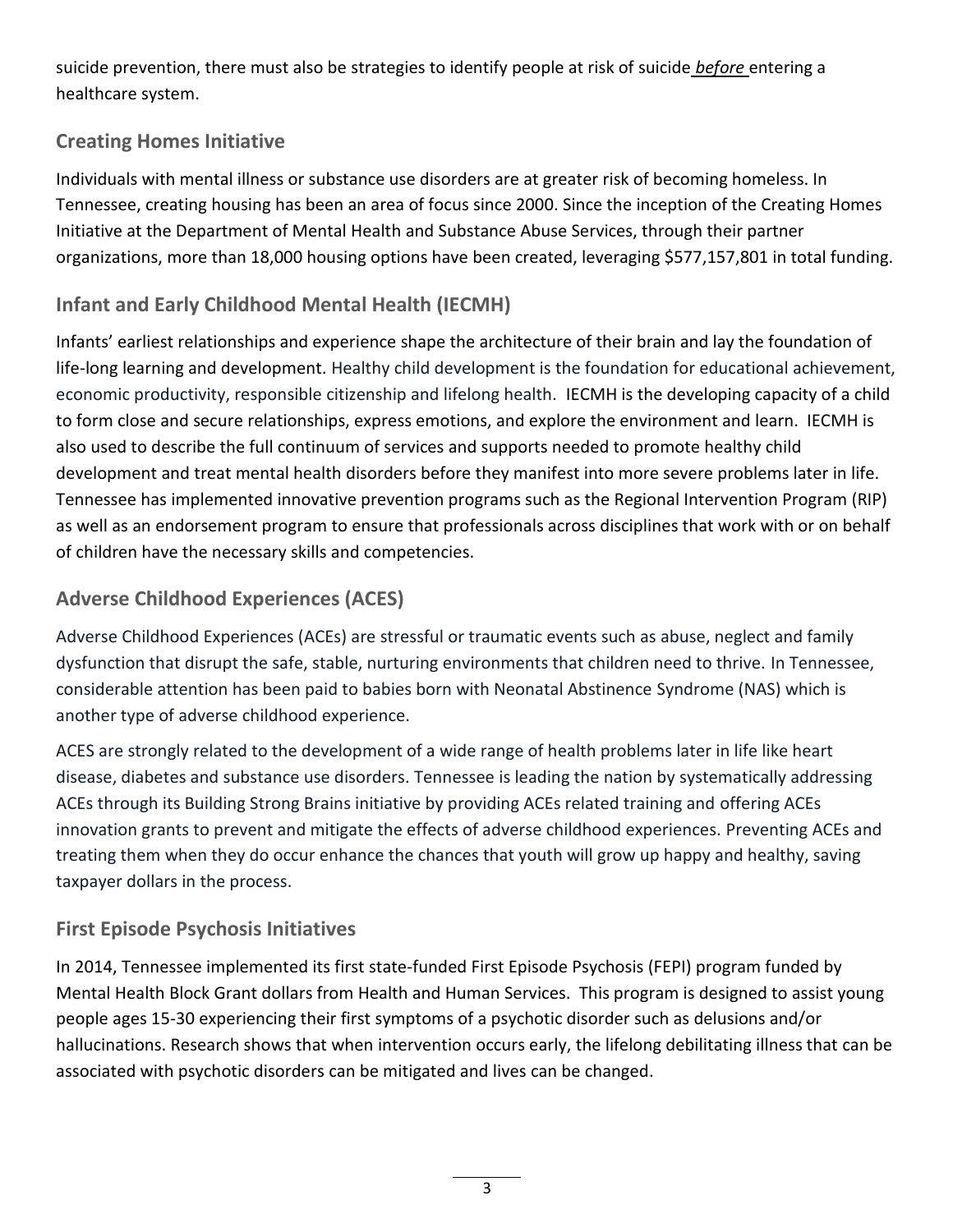suicide prevention, there must also be strategies to identify people at risk of suicide *before* entering a healthcare system.

# **Creating Homes Initiative**

Individuals with mental illness or substance use disorders are at greater risk of becoming homeless. In Tennessee, creating housing has been an area of focus since 2000. Since the inception of the Creating Homes Initiative at the Department of Mental Health and Substance Abuse Services, through their partner organizations, more than 18,000 housing options have been created, leveraging \$577,157,801 in total funding.

## **Infant and Early Childhood Mental Health (IECMH)**

Infants' earliest relationships and experience shape the architecture of their brain and lay the foundation of life-long learning and development. Healthy child development is the foundation for educational achievement, economic productivity, responsible citizenship and lifelong health. IECMH is the developing capacity of a child to form close and secure relationships, express emotions, and explore the environment and learn. IECMH is also used to describe the full continuum of services and supports needed to promote healthy child development and treat mental health disorders before they manifest into more severe problems later in life. Tennessee has implemented innovative prevention programs such as the Regional Intervention Program (RIP) as well as an endorsement program to ensure that professionals across disciplines that work with or on behalf of children have the necessary skills and competencies.

# **Adverse Childhood Experiences (ACES)**

Adverse Childhood Experiences (ACEs) are stressful or traumatic events such as abuse, neglect and family dysfunction that disrupt the safe, stable, nurturing environments that children need to thrive. In Tennessee, considerable attention has been paid to babies born with Neonatal Abstinence Syndrome (NAS) which is another type of adverse childhood experience.

ACES are strongly related to the development of a wide range of health problems later in life like heart disease, diabetes and substance use disorders. Tennessee is leading the nation by systematically addressing ACEs through its Building Strong Brains initiative by providing ACEs related training and offering ACEs innovation grants to prevent and mitigate the effects of adverse childhood experiences. Preventing ACEs and treating them when they do occur enhance the chances that youth will grow up happy and healthy, saving taxpayer dollars in the process.

## **First Episode Psychosis Initiatives**

In 2014, Tennessee implemented its first state-funded First Episode Psychosis (FEPI) program funded by Mental Health Block Grant dollars from Health and Human Services. This program is designed to assist young people ages 15-30 experiencing their first symptoms of a psychotic disorder such as delusions and/or hallucinations. Research shows that when intervention occurs early, the lifelong debilitating illness that can be associated with psychotic disorders can be mitigated and lives can be changed.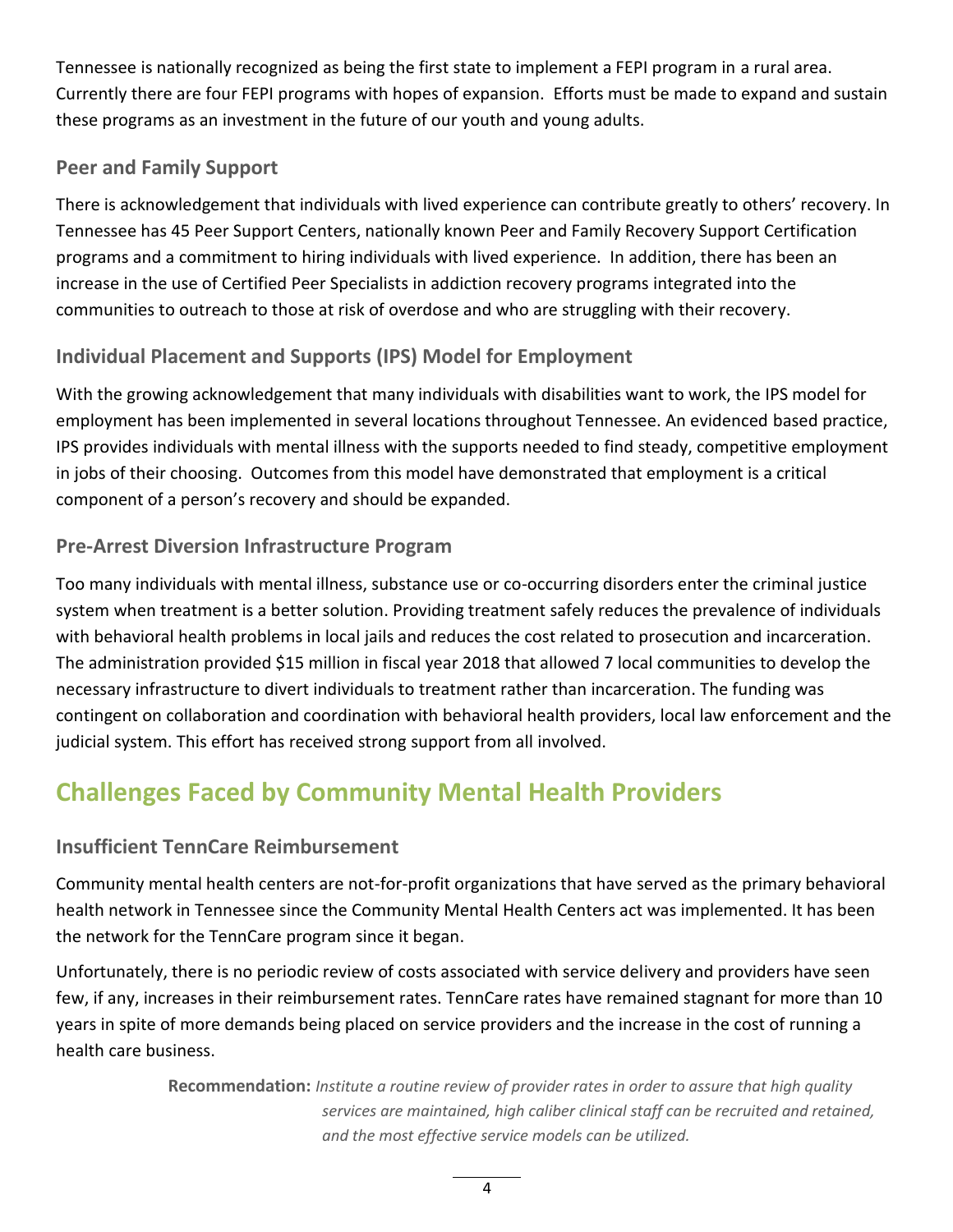Tennessee is nationally recognized as being the first state to implement a FEPI program in a rural area. Currently there are four FEPI programs with hopes of expansion. Efforts must be made to expand and sustain these programs as an investment in the future of our youth and young adults.

### **Peer and Family Support**

There is acknowledgement that individuals with lived experience can contribute greatly to others' recovery. In Tennessee has 45 Peer Support Centers, nationally known Peer and Family Recovery Support Certification programs and a commitment to hiring individuals with lived experience. In addition, there has been an increase in the use of Certified Peer Specialists in addiction recovery programs integrated into the communities to outreach to those at risk of overdose and who are struggling with their recovery.

## **Individual Placement and Supports (IPS) Model for Employment**

With the growing acknowledgement that many individuals with disabilities want to work, the IPS model for employment has been implemented in several locations throughout Tennessee. An evidenced based practice, IPS provides individuals with mental illness with the supports needed to find steady, competitive employment in jobs of their choosing. Outcomes from this model have demonstrated that employment is a critical component of a person's recovery and should be expanded.

#### **Pre-Arrest Diversion Infrastructure Program**

Too many individuals with mental illness, substance use or co-occurring disorders enter the criminal justice system when treatment is a better solution. Providing treatment safely reduces the prevalence of individuals with behavioral health problems in local jails and reduces the cost related to prosecution and incarceration. The administration provided \$15 million in fiscal year 2018 that allowed 7 local communities to develop the necessary infrastructure to divert individuals to treatment rather than incarceration. The funding was contingent on collaboration and coordination with behavioral health providers, local law enforcement and the judicial system. This effort has received strong support from all involved.

# **Challenges Faced by Community Mental Health Providers**

#### **Insufficient TennCare Reimbursement**

Community mental health centers are not-for-profit organizations that have served as the primary behavioral health network in Tennessee since the Community Mental Health Centers act was implemented. It has been the network for the TennCare program since it began.

Unfortunately, there is no periodic review of costs associated with service delivery and providers have seen few, if any, increases in their reimbursement rates. TennCare rates have remained stagnant for more than 10 years in spite of more demands being placed on service providers and the increase in the cost of running a health care business.

> **Recommendation:** *Institute a routine review of provider rates in order to assure that high quality services are maintained, high caliber clinical staff can be recruited and retained, and the most effective service models can be utilized.*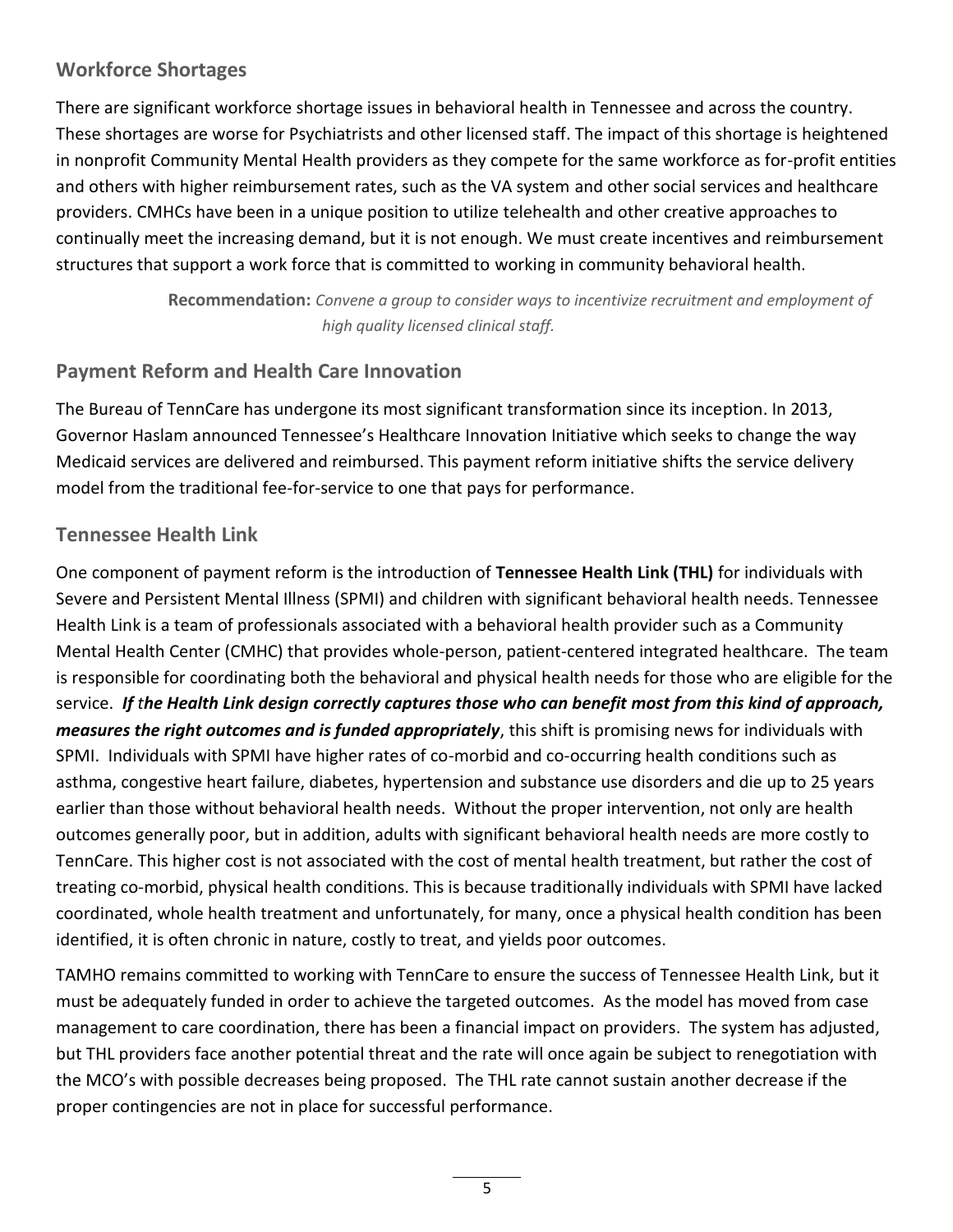#### **Workforce Shortages**

There are significant workforce shortage issues in behavioral health in Tennessee and across the country. These shortages are worse for Psychiatrists and other licensed staff. The impact of this shortage is heightened in nonprofit Community Mental Health providers as they compete for the same workforce as for-profit entities and others with higher reimbursement rates, such as the VA system and other social services and healthcare providers. CMHCs have been in a unique position to utilize telehealth and other creative approaches to continually meet the increasing demand, but it is not enough. We must create incentives and reimbursement structures that support a work force that is committed to working in community behavioral health.

> **Recommendation:** *Convene a group to consider ways to incentivize recruitment and employment of high quality licensed clinical staff.*

### **Payment Reform and Health Care Innovation**

The Bureau of TennCare has undergone its most significant transformation since its inception. In 2013, Governor Haslam announced Tennessee's Healthcare Innovation Initiative which seeks to change the way Medicaid services are delivered and reimbursed. This payment reform initiative shifts the service delivery model from the traditional fee-for-service to one that pays for performance.

### **Tennessee Health Link**

One component of payment reform is the introduction of **Tennessee Health Link (THL)** for individuals with Severe and Persistent Mental Illness (SPMI) and children with significant behavioral health needs. Tennessee Health Link is a team of professionals associated with a behavioral health provider such as a Community Mental Health Center (CMHC) that provides whole-person, patient-centered integrated healthcare. The team is responsible for coordinating both the behavioral and physical health needs for those who are eligible for the service. *If the Health Link design correctly captures those who can benefit most from this kind of approach, measures the right outcomes and is funded appropriately*, this shift is promising news for individuals with SPMI. Individuals with SPMI have higher rates of co-morbid and co-occurring health conditions such as asthma, congestive heart failure, diabetes, hypertension and substance use disorders and die up to 25 years earlier than those without behavioral health needs. Without the proper intervention, not only are health outcomes generally poor, but in addition, adults with significant behavioral health needs are more costly to TennCare. This higher cost is not associated with the cost of mental health treatment, but rather the cost of treating co-morbid, physical health conditions. This is because traditionally individuals with SPMI have lacked coordinated, whole health treatment and unfortunately, for many, once a physical health condition has been identified, it is often chronic in nature, costly to treat, and yields poor outcomes.

TAMHO remains committed to working with TennCare to ensure the success of Tennessee Health Link, but it must be adequately funded in order to achieve the targeted outcomes. As the model has moved from case management to care coordination, there has been a financial impact on providers. The system has adjusted, but THL providers face another potential threat and the rate will once again be subject to renegotiation with the MCO's with possible decreases being proposed. The THL rate cannot sustain another decrease if the proper contingencies are not in place for successful performance.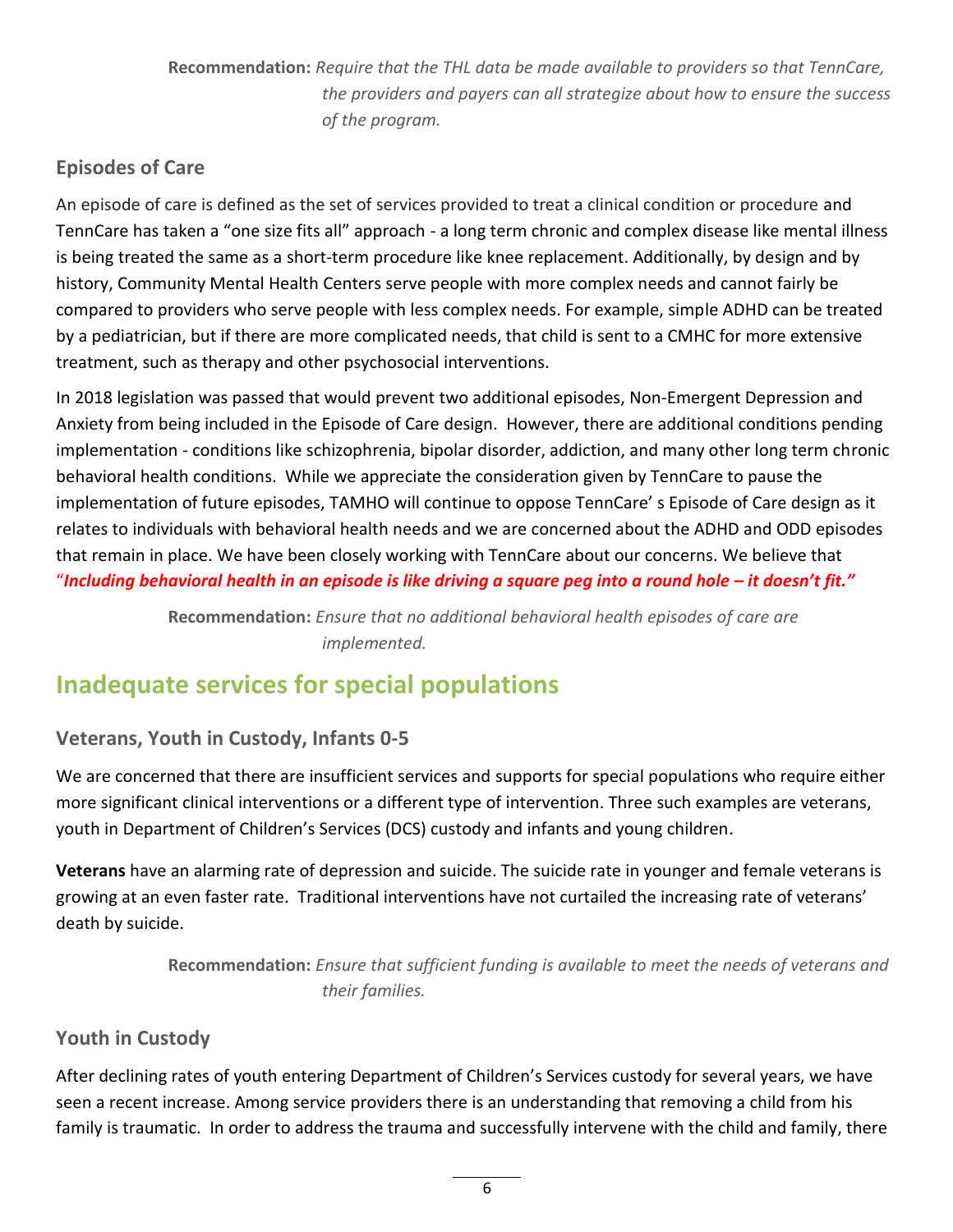**Recommendation:** *Require that the THL data be made available to providers so that TennCare, the providers and payers can all strategize about how to ensure the success of the program.*

## **Episodes of Care**

An episode of care is defined as the set of services provided to treat a clinical condition or procedure and TennCare has taken a "one size fits all" approach - a long term chronic and complex disease like mental illness is being treated the same as a short-term procedure like knee replacement. Additionally, by design and by history, Community Mental Health Centers serve people with more complex needs and cannot fairly be compared to providers who serve people with less complex needs. For example, simple ADHD can be treated by a pediatrician, but if there are more complicated needs, that child is sent to a CMHC for more extensive treatment, such as therapy and other psychosocial interventions.

In 2018 legislation was passed that would prevent two additional episodes, Non-Emergent Depression and Anxiety from being included in the Episode of Care design. However, there are additional conditions pending implementation - conditions like schizophrenia, bipolar disorder, addiction, and many other long term chronic behavioral health conditions. While we appreciate the consideration given by TennCare to pause the implementation of future episodes, TAMHO will continue to oppose TennCare' s Episode of Care design as it relates to individuals with behavioral health needs and we are concerned about the ADHD and ODD episodes that remain in place. We have been closely working with TennCare about our concerns. We believe that "Including behavioral health in an episode is like driving a square peg into a round hole – it doesn't fit."

> **Recommendation:** *Ensure that no additional behavioral health episodes of care are implemented.*

# **Inadequate services for special populations**

#### **Veterans, Youth in Custody, Infants 0-5**

We are concerned that there are insufficient services and supports for special populations who require either more significant clinical interventions or a different type of intervention. Three such examples are veterans, youth in Department of Children's Services (DCS) custody and infants and young children.

**Veterans** have an alarming rate of depression and suicide. The suicide rate in younger and female veterans is growing at an even faster rate. Traditional interventions have not curtailed the increasing rate of veterans' death by suicide.

> **Recommendation:** *Ensure that sufficient funding is available to meet the needs of veterans and their families.*

#### **Youth in Custody**

After declining rates of youth entering Department of Children's Services custody for several years, we have seen a recent increase. Among service providers there is an understanding that removing a child from his family is traumatic. In order to address the trauma and successfully intervene with the child and family, there